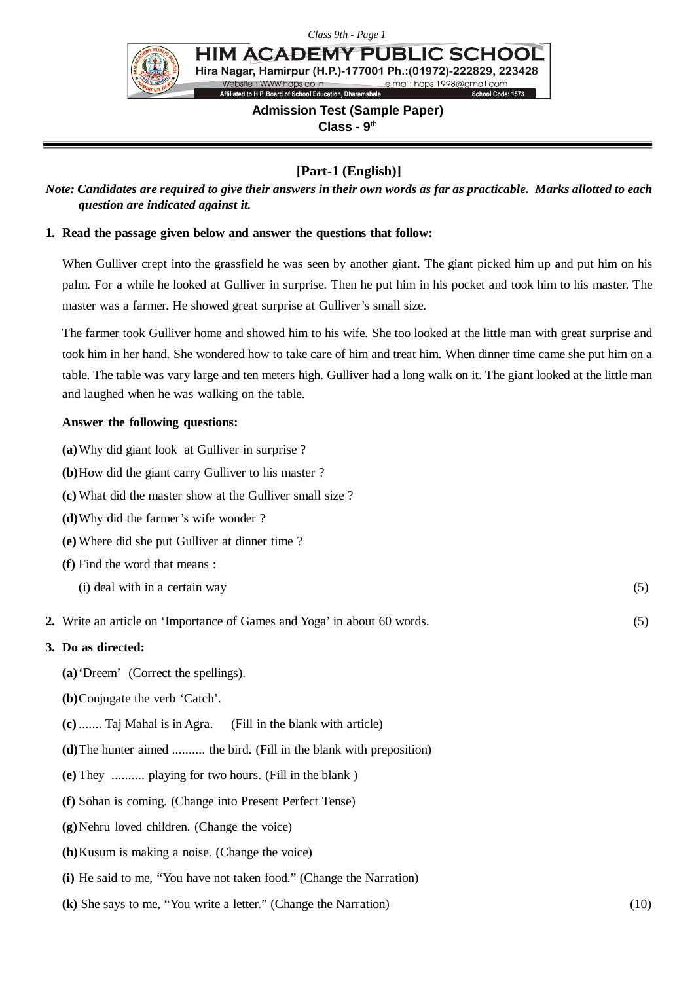

**HIM ACADEMY PUBLIC SCHOO** Hira Nagar, Hamirpur (H.P.)-177001 Ph.: (01972)-222829, 223428 Website : WWW.haps.co.in<br>Affiliated to H.P. Board of School Education, Dharamshala e.mail: haps 1998@gmail.com<br>School Code: 1573

# **Admission Test (Sample Paper) Class - 9**th

# **[Part-1 (English)]**

*Note: Candidates are required to give their answers in their own words as far as practicable. Marks allotted to each question are indicated against it.*

### **1. Read the passage given below and answer the questions that follow:**

When Gulliver crept into the grassfield he was seen by another giant. The giant picked him up and put him on his palm. For a while he looked at Gulliver in surprise. Then he put him in his pocket and took him to his master. The master was a farmer. He showed great surprise at Gulliver's small size.

The farmer took Gulliver home and showed him to his wife. She too looked at the little man with great surprise and took him in her hand. She wondered how to take care of him and treat him. When dinner time came she put him on a table. The table was vary large and ten meters high. Gulliver had a long walk on it. The giant looked at the little man and laughed when he was walking on the table.

#### **Answer the following questions:**

| (a) Why did giant look at Gulliver in surprise?                          |     |  |  |
|--------------------------------------------------------------------------|-----|--|--|
| (b) How did the giant carry Gulliver to his master?                      |     |  |  |
| (c) What did the master show at the Gulliver small size?                 |     |  |  |
| (d) Why did the farmer's wife wonder?                                    |     |  |  |
| (e) Where did she put Gulliver at dinner time?                           |     |  |  |
| (f) Find the word that means :                                           |     |  |  |
| (i) deal with in a certain way                                           | (5) |  |  |
| 2. Write an article on 'Importance of Games and Yoga' in about 60 words. | (5) |  |  |
| 3. Do as directed:                                                       |     |  |  |
| (a) 'Dreem' (Correct the spellings).                                     |     |  |  |
| (b)Conjugate the verb 'Catch'.                                           |     |  |  |
| $(c)$ Taj Mahal is in Agra.<br>(Fill in the blank with article)          |     |  |  |
| (d) The hunter aimed  the bird. (Fill in the blank with preposition)     |     |  |  |

- **(e)** They .......... playing for two hours. (Fill in the blank )
- **(f)** Sohan is coming. (Change into Present Perfect Tense)
- **(g)**Nehru loved children. (Change the voice)
- **(h)**Kusum is making a noise. (Change the voice)
- **(i)** He said to me, "You have not taken food." (Change the Narration)
- **(k)** She says to me, "You write a letter." (Change the Narration) (10)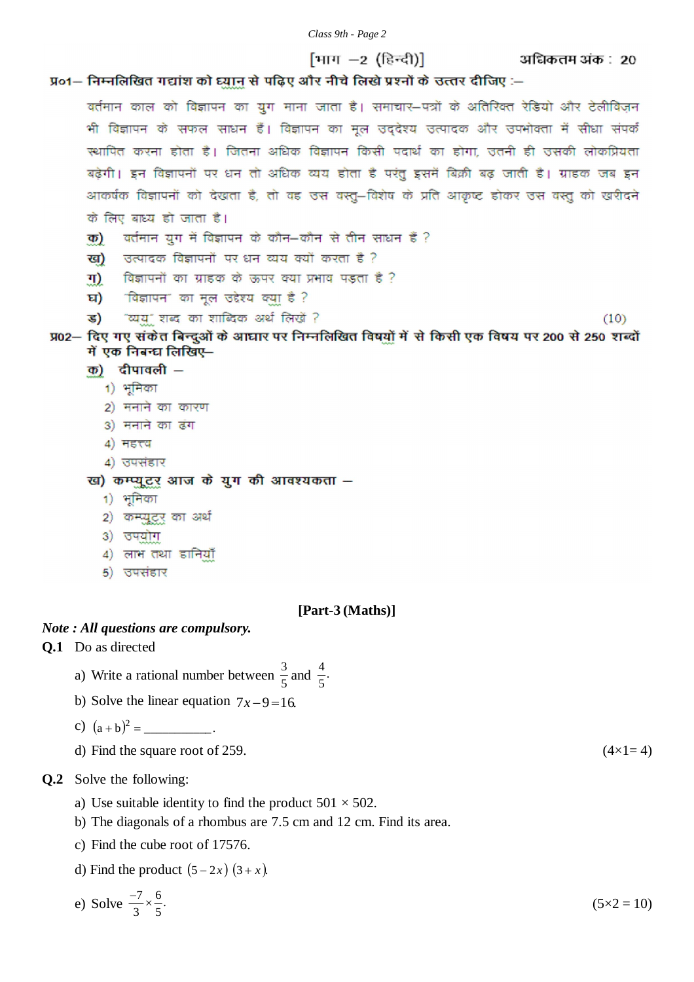#### *Class 9th - Page 2*

अधिकतम अंक : 20

 $(10)$ 

# प्र०1- निम्नलिखित गद्यांश को घ्यान से पढ़िए और नीचे लिखे प्रश्नों के उत्तर दीजिए :-

वर्तमान काल को विज्ञापन का युग माना जाता है। समाचार–पत्रों के अतिरिक्त रेडियो और टेलीविज़न भी विज्ञापन के सफल साधन हैं। विज्ञापन का मूल उद्देश्य उत्पादक और उपभोक्ता में सीधा संपर्क स्थापित करना होता है। जितना अधिक विज्ञापन किसी पदार्थ का होगा. उतनी ही उसकी लोकप्रियता बढ़ेगी। इन विज्ञापनों पर धन तो अधिक व्यय होता है परंतु इसमें बिक्री बढ़ जाती है। ग्राहक जब इन आकर्षक विज्ञापनों को देखता है, तो वह उस वस्तु-विशेष के प्रति आकृष्ट होकर उस वस्तु को खरीदने के लिए बाध्य हो जाता है।

[माग $-2$  (हिन्दी)]

- वर्तमान युग में विज्ञापन के कौन-कौन से तीन साधन हैं ? क)
- उत्पादक विज्ञापनों पर धन व्यय क्यों करता है ? ख)
- विज्ञापनों का ग्राहक के ऊपर क्या प्रभाव पड़ता है ? ग)
- घ) विज्ञापन" का मूल उद्देश्य क्या है ?
- "व्यय" शब्द का शाब्दिक अर्थ लिखें ? ड)

```
प्र02— दिए गए संकेत बिन्दुओं के आघार पर निम्नलिखित विषयों में से किसी एक विषय पर 200 से 250 शब्दों
में एक निबन्ध लिखिए-
```
- $\overline{p}$ ) दीपावली
	- 1) भूमिका
	- 2) मनाने का कारण
	- 3) मनाने का ढंग
	- 4) महत्त्व
	- 4) उपसंहार

#### ख) कम्प्यूटर आज के युग की आवश्यकता -

- 1) भूमिका
- 2) कम्प्यूटर का अर्थ
- 3) उपयोग
- 4) लाभ तथा डानियाँ
- 5) उपसंहार

#### **[Part-3 (Maths)]**

#### *Note : All questions are compulsory.*

#### **Q.1** Do as directed

- a) Write a rational number between  $\frac{3}{5}$  and  $\frac{4}{5}$ . 4
- b) Solve the linear equation  $7x-9=16$ .

c) 
$$
(a + b)^2 =
$$
 \_\_\_\_\_\_\_.

d) Find the square root of 259.  $(4 \times 1 = 4)$ 

#### **Q.2** Solve the following:

- a) Use suitable identity to find the product  $501 \times 502$ .
- b) The diagonals of a rhombus are 7.5 cm and 12 cm. Find its area.
- c) Find the cube root of 17576.
- d) Find the product  $(5 2x) (3 + x)$ .

e) Solve 
$$
\frac{-7}{3} \times \frac{6}{5}
$$
.  $(5 \times 2 = 10)$